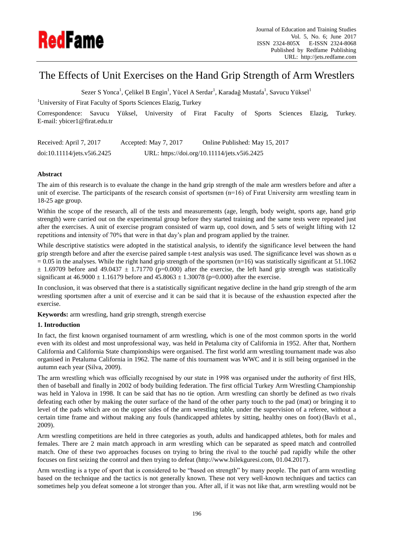

# The Effects of Unit Exercises on the Hand Grip Strength of Arm Wrestlers

Sezer S Yonca<sup>1</sup>, Çelikel B Engin<sup>1</sup>, Yücel A Serdar<sup>1</sup>, Karadağ Mustafa<sup>1</sup>, Savucu Yüksel<sup>1</sup>

<sup>1</sup>University of Firat Faculty of Sports Sciences Elazig, Turkey

Correspondence: Savucu Yüksel, University of Firat Faculty of Sports Sciences Elazig, Turkey. E-mail: ybicer1@firat.edu.tr

| Received: April 7, 2017     | Accepted: May 7, 2017 | Online Published: May 15, 2017               |
|-----------------------------|-----------------------|----------------------------------------------|
| doi:10.11114/jets.v5i6.2425 |                       | URL: https://doi.org/10.11114/jets.v5i6.2425 |

# **Abstract**

The aim of this research is to evaluate the change in the hand grip strength of the male arm wrestlers before and after a unit of exercise. The participants of the research consist of sportsmen  $(n=16)$  of Firat University arm wrestling team in 18-25 age group.

Within the scope of the research, all of the tests and measurements (age, length, body weight, sports age, hand grip strength) were carried out on the experimental group before they started training and the same tests were repeated just after the exercises. A unit of exercise program consisted of warm up, cool down, and 5 sets of weight lifting with 12 repetitions and intensity of 70% that were in that day's plan and program applied by the trainer.

While descriptive statistics were adopted in the statistical analysis, to identify the significance level between the hand grip strength before and after the exercise paired sample t-test analysis was used. The significance level was shown as  $\alpha$  $= 0.05$  in the analyses. While the right hand grip strength of the sportsmen (n=16) was statistically significant at 51.1062  $\pm$  1.69709 before and 49.0437  $\pm$  1.71770 (p=0.000) after the exercise, the left hand grip strength was statistically significant at  $46.9000 \pm 1.16179$  before and  $45.8063 \pm 1.30078$  (p=0.000) after the exercise.

In conclusion, it was observed that there is a statistically significant negative decline in the hand grip strength of the arm wrestling sportsmen after a unit of exercise and it can be said that it is because of the exhaustion expected after the exercise.

**Keywords:** arm wrestling, hand grip strength, strength exercise

# **1. Introduction**

In fact, the first known organised tournament of arm wrestling, which is one of the most common sports in the world even with its oldest and most unprofessional way, was held in Petaluma city of California in 1952. After that, Northern California and California State championships were organised. The first world arm wrestling tournament made was also organised in Petaluma California in 1962. The name of this tournament was WWC and it is still being organised in the autumn each year (Silva, 2009).

The arm wrestling which was officially recognised by our state in 1998 was organised under the authority of first HİS, then of baseball and finally in 2002 of body building federation. The first official Turkey Arm Wrestling Championship was held in Yalova in 1998. It can be said that has no tie option. Arm wrestling can shortly be defined as two rivals defeating each other by making the outer surface of the hand of the other party touch to the pad (mat) or bringing it to level of the pads which are on the upper sides of the arm wrestling table, under the supervision of a referee, without a certain time frame and without making any fouls (handicapped athletes by sitting, healthy ones on foot) (Bavlı et al., 2009).

Arm wrestling competitions are held in three categories as youth, adults and handicapped athletes, both for males and females. There are 2 main match approach in arm wrestling which can be separated as speed match and controlled match. One of these two approaches focuses on trying to bring the rival to the touché pad rapidly while the other focuses on first seizing the control and then trying to defeat (http://www.bilekguresi.com, 01.04.2017).

Arm wrestling is a type of sport that is considered to be "based on strength" by many people. The part of arm wrestling based on the technique and the tactics is not generally known. These not very well-known techniques and tactics can sometimes help you defeat someone a lot stronger than you. After all, if it was not like that, arm wrestling would not be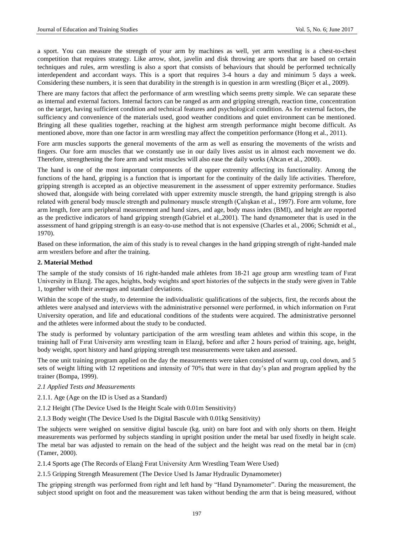a sport. You can measure the strength of your arm by machines as well, yet arm wrestling is a chest-to-chest competition that requires strategy. Like arrow, shot, javelin and disk throwing are sports that are based on certain techniques and rules, arm wrestling is also a sport that consists of behaviours that should be performed technically interdependent and accordant ways. This is a sport that requires 3-4 hours a day and minimum 5 days a week. Considering these numbers, it is seen that durability in the strength is in question in arm wrestling (Bi cer et al., 2009).

There are many factors that affect the performance of arm wrestling which seems pretty simple. We can separate these as internal and external factors. Internal factors can be ranged as arm and gripping strength, reaction time, concentration on the target, having sufficient condition and technical features and psychological condition. As for external factors, the sufficiency and convenience of the materials used, good weather conditions and quiet environment can be mentioned. Bringing all these qualities together, reaching at the highest arm strength performance might become difficult. As mentioned above, more than one factor in arm wrestling may affect the competition performance (Hong et al., 2011).

Fore arm muscles supports the general movements of the arm as well as ensuring the movements of the wrists and fingers. Our fore arm muscles that we constantly use in our daily lives assist us in almost each movement we do. Therefore, strengthening the fore arm and wrist muscles will also ease the daily works (Ahcan et al., 2000).

The hand is one of the most important components of the upper extremity affecting its functionality. Among the functions of the hand, gripping is a function that is important for the continuity of the daily life activities. Therefore, gripping strength is accepted as an objective measurement in the assessment of upper extremity performance. Studies showed that, alongside with being correlated with upper extremity muscle strength, the hand gripping strength is also related with general body muscle strength and pulmonary muscle strength (Çalışkan et al., 1997). Fore arm volume, fore arm length, fore arm peripheral measurement and hand sizes, and age, body mass index (BMI), and height are reported as the predictive indicators of hand gripping strength (Gabriel et al.,2001). The hand dynamometer that is used in the assessment of hand gripping strength is an easy-to-use method that is not expensive (Charles et al., 2006; Schmidt et al., 1970).

Based on these information, the aim of this study is to reveal changes in the hand gripping strength of right-handed male arm wrestlers before and after the training.

#### **2. Material Method**

The sample of the study consists of 16 right-handed male athletes from 18-21 age group arm wrestling team of Fırat University in Elazığ. The ages, heights, body weights and sport histories of the subjects in the study were given in Table 1, together with their averages and standard deviations.

Within the scope of the study, to determine the individualistic qualifications of the subjects, first, the records about the athletes were analysed and interviews with the administrative personnel were performed, in which information on Fırat University operation, and life and educational conditions of the students were acquired. The administrative personnel and the athletes were informed about the study to be conducted.

The study is performed by voluntary participation of the arm wrestling team athletes and within this scope, in the training hall of Fırat University arm wrestling team in Elazığ, before and after 2 hours period of training, age, height, body weight, sport history and hand gripping strength test measurements were taken and assessed.

The one unit training program applied on the day the measurements were taken consisted of warm up, cool down, and 5 sets of weight lifting with 12 repetitions and intensity of 70% that were in that day's plan and program applied by the trainer (Bompa, 1999).

#### *2.1 Applied Tests and Measurements*

2.1.1. Age (Age on the ID is Used as a Standard)

- 2.1.2 Height (The Device Used Is the Height Scale with 0.01m Sensitivity)
- 2.1.3 Body weight (The Device Used Is the Digital Bascule with 0.01kg Sensitivity)

The subjects were weighed on sensitive digital bascule (kg. unit) on bare foot and with only shorts on them. Height measurements was performed by subjects standing in upright position under the metal bar used fixedly in height scale. The metal bar was adjusted to remain on the head of the subject and the height was read on the metal bar in (cm) (Tamer, 2000).

2.1.4 Sports age (The Records of Elazığ Fırat University Arm Wrestling Team Were Used)

2.1.5 Gripping Strength Measurement (The Device Used Is Jamar Hydraulic Dynamometer)

The gripping strength was performed from right and left hand by "Hand Dynamometer". During the measurement, the subject stood upright on foot and the measurement was taken without bending the arm that is being measured, without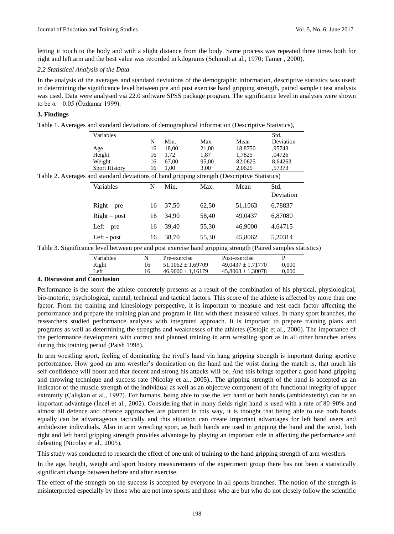letting it touch to the body and with a slight distance from the body. Same process was repeated three times both for right and left arm and the best value was recorded in kilograms (Schmidt at al., 1970; Tamer , 2000).

### *2.2 Statistical Analysis of the Data*

In the analysis of the averages and standard deviations of the demographic information, descriptive statistics was used; in determining the significance level between pre and post exercise hand gripping strength, paired sample t test analysis was used. Data were analysed via 22.0 software SPSS package program. The significance level in analyses were shown to be  $\alpha$  = 0.05 (Özdamar 1999).

### **3. Findings**

Table 1. Averages and standard deviations of demographical information (Descriptive Statistics),

| Variables                                                                                    |    |       |       |         | Std.      |
|----------------------------------------------------------------------------------------------|----|-------|-------|---------|-----------|
|                                                                                              | N  | Min.  | Max.  | Mean    | Deviation |
| Age                                                                                          | 16 | 18,00 | 21,00 | 18,8750 | .95743    |
| Height                                                                                       | 16 | 1,72  | 1,87  | 1,7825  | ,04726    |
| Weight                                                                                       | 16 | 67,00 | 95,00 | 82,0625 | 8,64263   |
| <b>Sport History</b>                                                                         | 16 | 1,00  | 3.00  | 2.0625  | .57373    |
| Table 2. Averages and standard deviations of hand gripping strength (Descriptive Statistics) |    |       |       |         |           |
|                                                                                              |    |       |       |         |           |
| Variables                                                                                    | N  | Min.  | Max.  | Mean    | Std.      |
|                                                                                              |    |       |       |         | Deviation |
| $Right - pre$                                                                                | 16 | 37,50 | 62,50 | 51,1063 | 6,78837   |
| $Right - post$                                                                               | 16 | 34,90 | 58,40 | 49,0437 | 6,87080   |
| $Left - pre$                                                                                 | 16 | 39,40 | 55,30 | 46,9000 | 4,64715   |

| Variables | N | Pre-exercise          | Post-exercise         |       |
|-----------|---|-----------------------|-----------------------|-------|
| Right     |   | $51.1062 \pm 1.69709$ | $49.0437 \pm 1.71770$ | 0.000 |
| ∟eft      |   | $46.9000 \pm 1.16179$ | $45.8063 \pm 1.30078$ | 0.000 |

### **4. Discussion and Conclusion**

Performance is the score the athlete concretely presents as a result of the combination of his physical, physiological, bio-motoric, psychological, mental, technical and tactical factors. This score of the athlete is affected by more than one factor. From the training and kinesiology perspective, it is important to measure and test each factor affecting the performance and prepare the training plan and program in line with these measured values. In many sport branches, the researchers studied performance analyses with integrated approach. It is important to prepare training plans and programs as well as determining the strengths and weaknesses of the athletes (Ostojic et al., 2006). The importance of the performance development with correct and planned training in arm wrestling sport as in all other branches arises during this training period (Paish 1998).

In arm wrestling sport, feeling of dominating the rival's hand via hang gripping strength is important during sportive performance. How good an arm wrestler's domination on the hand and the wrist during the match is, that much his self-confidence will boost and that decent and strong his attacks will be. And this brings together a good hand gripping and throwing technique and success rate (Nicolay et al., 2005).. The gripping strength of the hand is accepted as an indicator of the muscle strength of the individual as well as an objective component of the functional integrity of upper extremity (Çalışkan et al., 1997). For humans, being able to use the left hand or both hands (ambidexterity) can be an important advantage (İncel et al., 2002). Considering that in many fields right hand is used with a rate of 80-90% and almost all defence and offence approaches are planned in this way, it is thought that being able to use both hands equally can be advantageous tactically and this situation can create important advantages for left hand users and ambidexter individuals. Also in arm wrestling sport, as both hands are used in gripping the hand and the wrist, both right and left hand gripping strength provides advantage by playing an important role in affecting the performance and defeating (Nicolay et al., 2005).

This study was conducted to research the effect of one unit of training to the hand gripping strength of arm wrestlers.

In the age, height, weight and sport history measurements of the experiment group there has not been a statistically significant change between before and after exercise.

The effect of the strength on the success is accepted by everyone in all sports branches. The notion of the strength is misinterpreted especially by those who are not into sports and those who are but who do not closely follow the scientific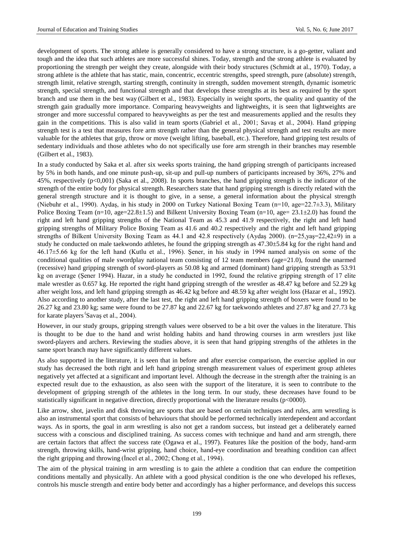development of sports. The strong athlete is generally considered to have a strong structure, is a go-getter, valiant and tough and the idea that such athletes are more successful shines. Today, strength and the strong athlete is evaluated by proportioning the strength per weight they create, alongside with their body structures (Schmidt at al., 1970). Today, a strong athlete is the athlete that has static, main, concentric, eccentric strengths, speed strength, pure (absolute) strength, strength limit, relative strength, starting strength, continuity in strength, sudden movement strength, dynamic isometric strength, special strength, and functional strength and that develops these strengths at its best as required by the sport branch and use them in the best way (Gilbert et al., 1983). Especially in weight sports, the quality and quantity of the strength gain gradually more importance. Comparing heavyweights and lightweights, it is seen that lightweights are stronger and more successful compared to heavyweights as per the test and measurements applied and the results they gain in the competitions. This is also valid in team sports (Gabriel et al., 2001; Savaş et al., 2004). Hand gripping strength test is a test that measures fore arm strength rather than the general physical strength and test results are more valuable for the athletes that grip, throw or move (weight lifting, baseball, etc.). Therefore, hand gripping test results of sedentary individuals and those athletes who do not specifically use fore arm strength in their branches may resemble (Gilbert et al., 1983).

In a study conducted by Saka et al. after six weeks sports training, the hand gripping strength of participants increased by 5% in both hands, and one minute push-up, sit-up and pull-up numbers of participants increased by 36%, 27% and 45%, respectively (p<0,001) (Saka et al., 2008). In sports branches, the hand gripping strength is the indicator of the strength of the entire body for physical strength. Researchers state that hand gripping strength is directly related with the general strength structure and it is thought to give, in a sense, a general information about the physical strength (Niebuhr et al., 1990). Aydaş, in his study in 2000 on Turkey National Boxing Team (n=10, age=22.7±3.3), Military Police Boxing Team (n=10, age=22.8±1.5) and Bilkent University Boxing Team (n=10, age=  $23.1 \pm 2.0$ ) has found the right and left hand gripping strengths of the National Team as 45.3 and 41.9 respectively, the right and left hand gripping strengths of Military Police Boxing Team as 41.6 and 40.2 respectively and the right and left hand gripping strengths of Bilkent University Boxing Team as 44.1 and 42.8 respectively (Aydaş 2000). (n=25,yaş=22,42±9) in a study he conducted on male taekwondo athletes, he found the gripping strength as  $47.30 \pm 5.84$  kg for the right hand and 46.17±5.66 kg for the left hand (Kutlu et al., 1996). Şener, in his study in 1994 named analysis on some of the conditional qualities of male swordplay national team consisting of 12 team members (age=21.0), found the unarmed (recessive) hand gripping strength of sword-players as 50.08 kg and armed (dominant) hand gripping strength as 53.91 kg on average (Şener 1994). Hazar, in a study he conducted in 1992, found the relative gripping strength of 17 elite male wrestler as 0.657 kg. He reported the right hand gripping strength of the wrestler as 48.47 kg before and 52.29 kg after weight loss, and left hand gripping strength as 46.42 kg before and 48.59 kg after weight loss (Hazar et al., 1992). Also according to another study, after the last test, the right and left hand gripping strength of boxers were found to be 26.27 kg and 23.80 kg; same were found to be 27.87 kg and 22.67 kg for taekwondo athletes and 27.87 kg and 27.73 kg for karate players 'Savaş et al., 2004).

However, in our study groups, gripping strength values were observed to be a bit over the values in the literature. This is thought to be due to the hand and wrist holding habits and hand throwing courses in arm wrestlers just like sword-players and archers. Reviewing the studies above, it is seen that hand gripping strengths of the athletes in the same sport branch may have significantly different values.

As also supported in the literature, it is seen that in before and after exercise comparison, the exercise applied in our study has decreased the both right and left hand gripping strength measurement values of experiment group athletes negatively yet affected at a significant and important level. Although the decrease in the strength after the training is an expected result due to the exhaustion, as also seen with the support of the literature, it is seen to contribute to the development of gripping strength of the athletes in the long term. In our study, these decreases have found to be statistically significant in negative direction, directly proportional with the literature results (p<0000).

Like arrow, shot, javelin and disk throwing are sports that are based on certain techniques and rules, arm wrestling is also an instrumental sport that consists of behaviours that should be performed technically interdependent and accordant ways. As in sports, the goal in arm wrestling is also not get a random success, but instead get a deliberately earned success with a conscious and disciplined training. As success comes with technique and hand and arm strength, there are certain factors that affect the success rate (Ogawa et al., 1997). Features like the position of the body, hand-arm strength, throwing skills, hand-wrist gripping, hand choice, hand-eye coordination and breathing condition can affect the right gripping and throwing (İncel et al., 2002; Chong et al., 1994).

The aim of the physical training in arm wrestling is to gain the athlete a condition that can endure the competition conditions mentally and physically. An athlete with a good physical condition is the one who developed his reflexes, controls his muscle strength and entire body better and accordingly has a higher performance, and develops this success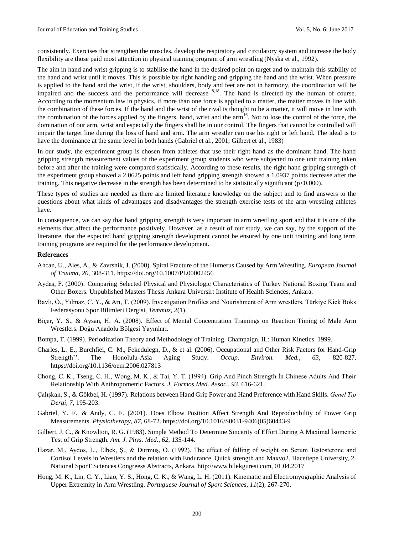consistently. Exercises that strengthen the muscles, develop the respiratory and circulatory system and increase the body flexibility are those paid most attention in physical training program of arm wrestling (Nyska et al., 1992).

The aim in hand and wrist gripping is to stabilise the hand in the desired point on target and to maintain this stability of the hand and wrist until it moves. This is possible by right handing and gripping the hand and the wrist. When pressure is applied to the hand and the wrist, if the wrist, shoulders, body and feet are not in harmony, the coordination will be impaired and the success and the performance will decrease <sup>8,18</sup>. The hand is directed by the human of course. According to the momentum law in physics, if more than one force is applied to a matter, the matter moves in line with the combination of these forces. If the hand and the wrist of the rival is thought to be a matter, it will move in line with the combination of the forces applied by the fingers, hand, wrist and the arm<sup>16</sup>. Not to lose the control of the force, the domination of our arm, wrist and especially the fingers shall be in our control. The fingers that cannot be controlled will impair the target line during the loss of hand and arm. The arm wrestler can use his right or left hand. The ideal is to have the dominance at the same level in both hands (Gabriel et al., 2001; Gilbert et al., 1983)

In our study, the experiment group is chosen from athletes that use their right hand as the dominant hand. The hand gripping strength measurement values of the experiment group students who were subjected to one unit training taken before and after the training were compared statistically. According to these results, the right hand gripping strength of the experiment group showed a 2.0625 points and left hand gripping strength showed a 1.0937 points decrease after the training. This negative decrease in the strength has been determined to be statistically significant ( $p<0.000$ ).

These types of studies are needed as there are limited literature knowledge on the subject and to find answers to the questions about what kinds of advantages and disadvantages the strength exercise tests of the arm wrestling athletes have.

In consequence, we can say that hand gripping strength is very important in arm wrestling sport and that it is one of the elements that affect the performance positively. However, as a result of our study, we can say, by the support of the literature, that the expected hand gripping strength development cannot be ensured by one unit training and long term training programs are required for the performance development.

#### **References**

- Ahcan, U., Ales, A., & Zavrsnik, J. (2000). Spiral Fracture of the Humerus Caused by Arm Wrestling. *European Journal of Trauma, 26*, 308-311.<https://doi.org/10.1007/PL00002456>
- Aydaş, F. (2000). Comparing Selected Physical and Physiologic Characteristics of Turkey National Boxing Team and Other Boxers. Unpublished Masters Thesis Ankara Universirt Institute of Health Sciences, Ankara.
- Bavlı, Ö., Yılmaz, C. Y., & Arı, T. (2009). Investigation Profiles and Nourishment of Arm wrestlers. Türkiye Kick Boks Federasyonu Spor Bilimleri Dergisi, *Temmuz, 2*(1).
- Biçer, Y. S., & Aysan, H. A. (2008). Effect of Mental Concentration Trainings on Reaction Timing of Male Arm Wrestlers. Doğu Anadolu Bölgesi Yayınları.
- Bompa, T. (1999). Periodization Theory and Methodology of Training. Champaign, IL: Human Kinetics. 1999.
- Charles, L. E., Burchfiel, C. M., Fekedulegn, D., & et al. (2006). Occupational and Other Risk Factors for Hand-Grip Strength''. The Honolulu-Asia Aging Study. *Occup. Environ. Med., 63*, 820-827. <https://doi.org/10.1136/oem.2006.027813>
- Chong, C. K., Tseng, C. H., Wong, M. K., & Tai, Y. T. (1994). Grip And Pinch Strength İn Chinese Adults And Their Relationship With Anthropometric Factors. *J. Formos Med. Assoc., 93*, 616-621.
- Çalışkan, S., & Gökbel, H. (1997). Relations between Hand Grip Power and Hand Preference with Hand Skills. *Genel Tıp Dergi, 7*, 195-203.
- Gabriel, Y. F., & Andy, C. F. (2001). Does Elbow Position Affect Strength And Reproducibility of Power Grip Measurements. *Physiotherapy, 87*, 68-72. [https://doi.org/10.1016/S0031-9406\(05\)60443-9](https://doi.org/10.1016/S0031-9406%2805%2960443-9)
- Gilbert, J. C., & Knowlton, R. G. (1983). Simple Method To Determine Sincerity of Effort During A Maximal İsometric Test of Grip Strength. *Am. J. Phys. Med., 62*, 135-144.
- Hazar, M., Aydos, L., Elbek, Ş., & Durmuş, O. (1992). The effect of falling of weight on Serum Testosterone and Cortisol Levels in Wrestlers and the relation with Endurance, Quick strength and Maxvo2. Hacettepe University, 2. National SporT Sciences Congreess Abstracts, Ankara. [http://www.bilekguresi.com,](http://www.bilekguresi.com/) 01.04.2017
- Hong, M. K., Lin, C. Y., Liao, Y. S., Hong, C. K., & Wang, L. H. (2011). Kinematic and Electromyographic Analysis of Upper Extremity in Arm Wrestling. *Portuguese Journal of Sport Sciences, 11*(2), 267-270.